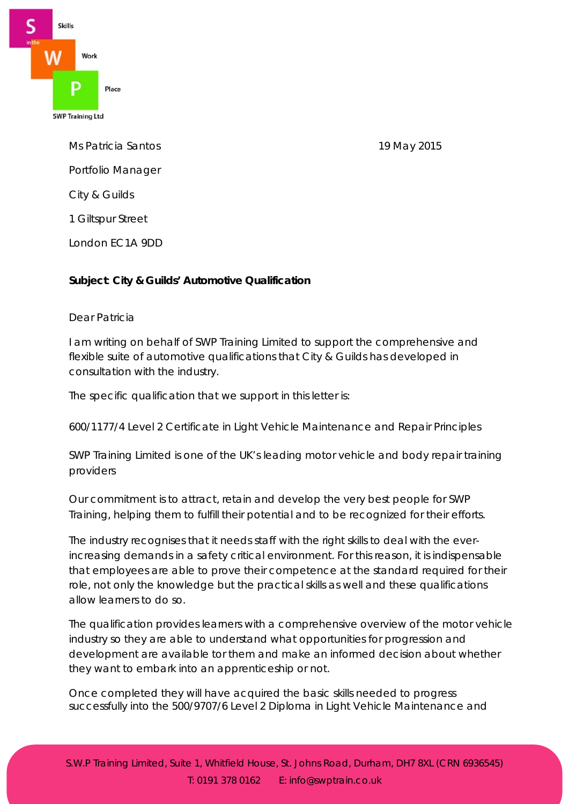

Ms Patricia Santos 19 May 2015 Portfolio Manager City & Guilds 1 Giltspur Street London EC1A 9DD

## **Subject**: **City & Guilds' Automotive Qualification**

## Dear Patricia

I am writing on behalf of SWP Training Limited to support the comprehensive and flexible suite of automotive qualifications that City & Guilds has developed in consultation with the industry.

The specific qualification that we support in this letter is:

600/1177/4 Level 2 Certificate in Light Vehicle Maintenance and Repair Principles

SWP Training Limited is one of the UK's leading motor vehicle and body repair training providers

Our commitment is to attract, retain and develop the very best people for SWP Training, helping them to fulfill their potential and to be recognized for their efforts.

The industry recognises that it needs staff with the right skills to deal with the everincreasing demands in a safety critical environment. For this reason, it is indispensable that employees are able to prove their competence at the standard required for their role, not only the knowledge but the practical skills as well and these qualifications allow learners to do so.

The qualification provides learners with a comprehensive overview of the motor vehicle industry so they are able to understand what opportunities for progression and development are available tor them and make an informed decision about whether they want to embark into an apprenticeship or not.

Once completed they will have acquired the basic skills needed to progress successfully into the 500/9707/6 Level 2 Diploma in Light Vehicle Maintenance and